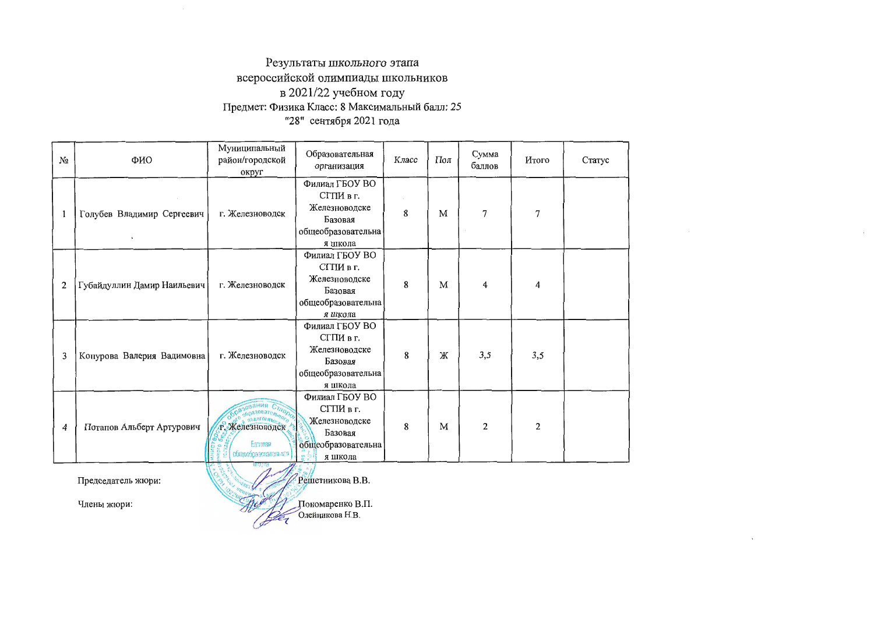## Результаты школьного этапа всероссийской олимпиады школьников в 2021/22 учебном году Предмет: Физика Класс: 8 Максимальный балл: 25 "28" сентября 2021 года

| Nα             | ФИО                         | Муниципальный<br>район/городской<br>округ                | Образовательная<br>организация                                                           | Класс | Пол | Сумма<br>баллов | Итого | Статус |
|----------------|-----------------------------|----------------------------------------------------------|------------------------------------------------------------------------------------------|-------|-----|-----------------|-------|--------|
|                | Голубев Владимир Сергеевич  | г. Железноводск                                          | Филиал ГБОУ ВО<br>СГПИ в г.<br>Железноводске<br>Базовая<br>общеобразовательна<br>я школа | 8     | M   | 7               | 7     |        |
| $\overline{2}$ | Губайдуллин Дамир Наильевич | г. Железноводск                                          | Филиал ГБОУ ВО<br>СГПИ в г.<br>Железноводске<br>Базовая<br>общеобразовательна<br>я школа | 8     | M   | 4               | 4     |        |
| 3              | Конурова Валерия Вадимовна  | г. Железноводск                                          | Филиал ГБОУ ВО<br>СГПИ в г.<br>Железноводске<br>Базовая<br>общеобразовательна<br>я школа | 8     | Ж   | 3,5             | 3,5   |        |
| 4              | Потапов Альберт Артурович   | т. Железноводск<br><b>Earnast</b><br>общеобразовательная | Филиал ГБОУ ВО<br>СГПИ в г.<br>Железноводске<br>Базовая<br>общеобразовательна<br>я школа | 8     | M   | 2               | 2     |        |
|                | Председатель жюри:          | PO. HUBBARY                                              | Решетникова В.В.                                                                         |       |     |                 |       |        |

Члены жюри:

Пономаренко В.П.<br>Олейникова Н.В. ou pa